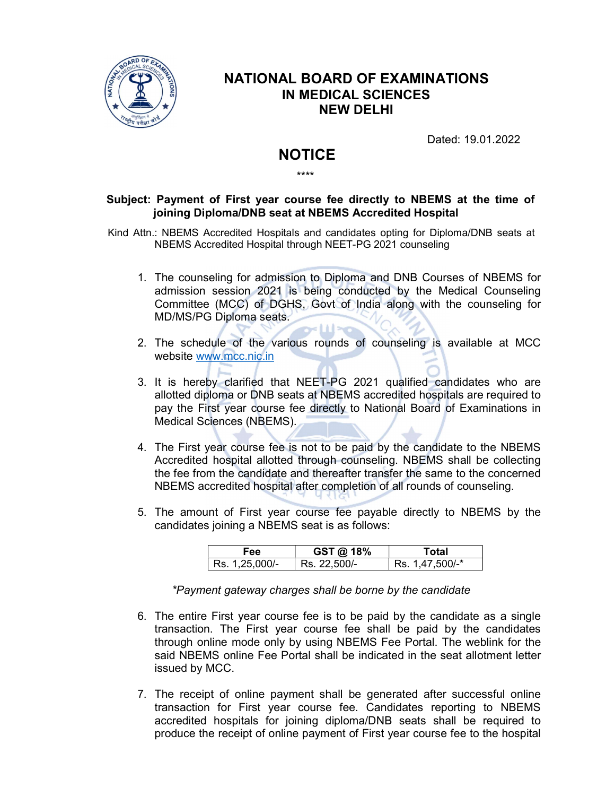

## NATIONAL BOARD OF EXAMINATIONS IN MEDICAL SCIENCES NEW DELHI

\*\*\*\*

Dated: 19.01.2022

## **NOTICE**

## Subject: Payment of First year course fee directly to NBEMS at the time of joining Diploma/DNB seat at NBEMS Accredited Hospital

Kind Attn.: NBEMS Accredited Hospitals and candidates opting for Diploma/DNB seats at NBEMS Accredited Hospital through NEET-PG 2021 counseling

- 1. The counseling for admission to Diploma and DNB Courses of NBEMS for admission session 2021 is being conducted by the Medical Counseling Committee (MCC) of DGHS, Govt of India along with the counseling for MD/MS/PG Diploma seats.
- 2. The schedule of the various rounds of counseling is available at MCC website www.mcc.nic.in
- 3. It is hereby clarified that NEET-PG 2021 qualified candidates who are allotted diploma or DNB seats at NBEMS accredited hospitals are required to pay the First year course fee directly to National Board of Examinations in Medical Sciences (NBEMS).
- 4. The First year course fee is not to be paid by the candidate to the NBEMS Accredited hospital allotted through counseling. NBEMS shall be collecting the fee from the candidate and thereafter transfer the same to the concerned NBEMS accredited hospital after completion of all rounds of counseling.
- 5. The amount of First year course fee payable directly to NBEMS by the candidates joining a NBEMS seat is as follows:

| Fee            | GST @ 18%    | Total           |
|----------------|--------------|-----------------|
| Rs. 1,25,000/- | Rs. 22,500/- | Rs. 1,47,500/-* |

\*Payment gateway charges shall be borne by the candidate

- 6. The entire First year course fee is to be paid by the candidate as a single transaction. The First year course fee shall be paid by the candidates through online mode only by using NBEMS Fee Portal. The weblink for the said NBEMS online Fee Portal shall be indicated in the seat allotment letter issued by MCC.
- 7. The receipt of online payment shall be generated after successful online transaction for First year course fee. Candidates reporting to NBEMS accredited hospitals for joining diploma/DNB seats shall be required to produce the receipt of online payment of First year course fee to the hospital